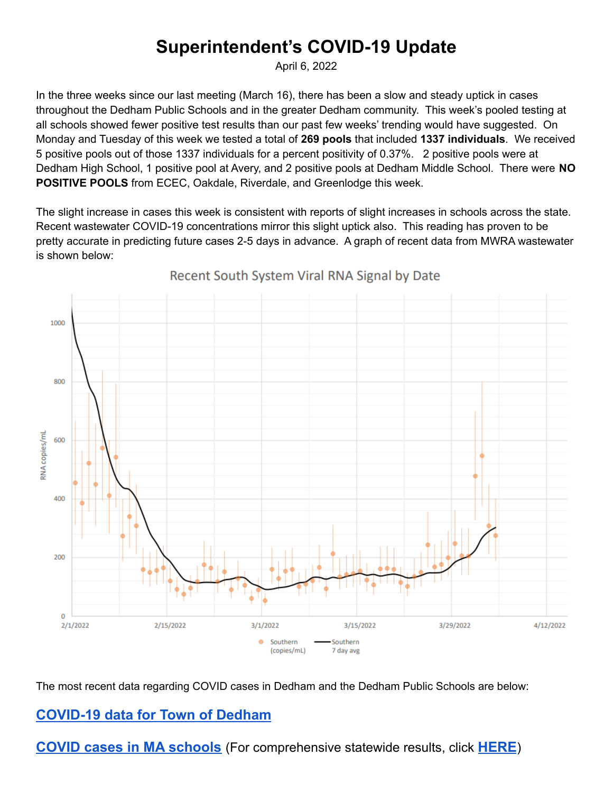## **Superintendent's COVID-19 Update**

April 6, 2022

In the three weeks since our last meeting (March 16), there has been a slow and steady uptick in cases throughout the Dedham Public Schools and in the greater Dedham community. This week's pooled testing at all schools showed fewer positive test results than our past few weeks' trending would have suggested. On Monday and Tuesday of this week we tested a total of **269 pools** that included **1337 individuals**. We received 5 positive pools out of those 1337 individuals for a percent positivity of 0.37%. 2 positive pools were at Dedham High School, 1 positive pool at Avery, and 2 positive pools at Dedham Middle School. There were **NO POSITIVE POOLS** from ECEC, Oakdale, Riverdale, and Greenlodge this week.

The slight increase in cases this week is consistent with reports of slight increases in schools across the state. Recent wastewater COVID-19 concentrations mirror this slight uptick also. This reading has proven to be pretty accurate in predicting future cases 2-5 days in advance. A graph of recent data from MWRA wastewater is shown below:



Recent South System Viral RNA Signal by Date

The most recent data regarding COVID cases in Dedham and the Dedham Public Schools are below:

## **[COVID-19](https://docs.google.com/spreadsheets/d/1F0vWAo41qOq7yWc1jjlxE5yGZBdOr1tAKNjdxvgUPC8/edit#gid=0) data for Town of Dedham**

**COVID cases in MA [schools](https://docs.google.com/spreadsheets/d/1d6DPt7NSX4hf6oUbOhBQBxIcwLbo4ptenP8ANWDL0aE/edit#gid=0)** (For comprehensive statewide results, click **[HERE](https://www.doe.mass.edu/covid19/positive-cases/)**)